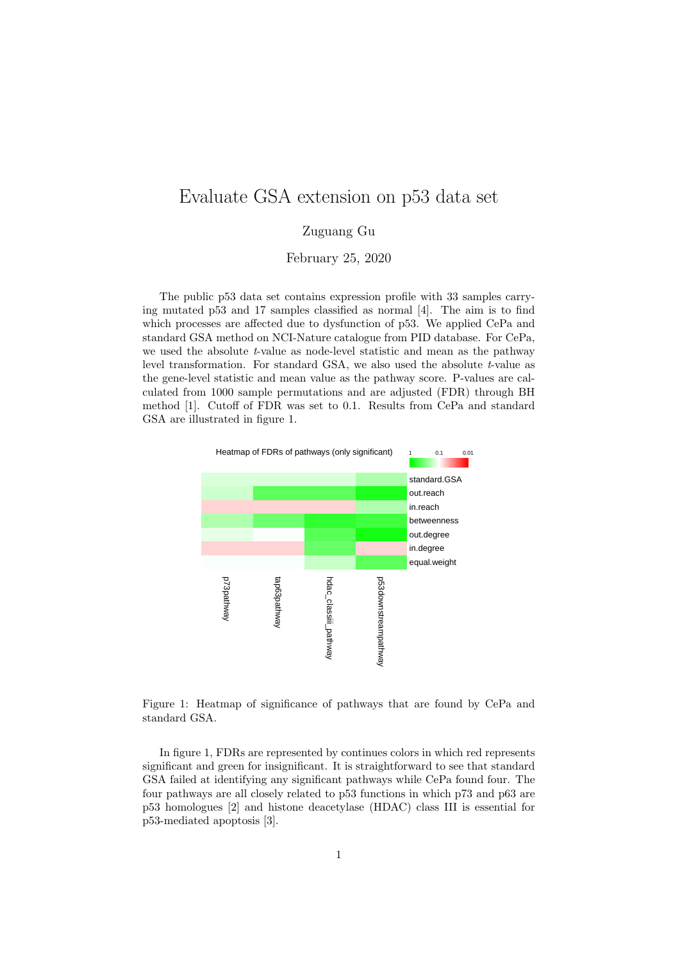## Evaluate GSA extension on p53 data set

## Zuguang Gu

February 25, 2020

The public p53 data set contains expression profile with 33 samples carrying mutated p53 and 17 samples classified as normal [4]. The aim is to find which processes are affected due to dysfunction of p53. We applied CePa and standard GSA method on NCI-Nature catalogue from PID database. For CePa, we used the absolute t-value as node-level statistic and mean as the pathway level transformation. For standard GSA, we also used the absolute  $t$ -value as the gene-level statistic and mean value as the pathway score. P-values are calculated from 1000 sample permutations and are adjusted (FDR) through BH method [1]. Cutoff of FDR was set to 0.1. Results from CePa and standard GSA are illustrated in figure 1.



Figure 1: Heatmap of significance of pathways that are found by CePa and standard GSA.

In figure 1, FDRs are represented by continues colors in which red represents significant and green for insignificant. It is straightforward to see that standard GSA failed at identifying any significant pathways while CePa found four. The four pathways are all closely related to p53 functions in which p73 and p63 are p53 homologues [2] and histone deacetylase (HDAC) class III is essential for p53-mediated apoptosis [3].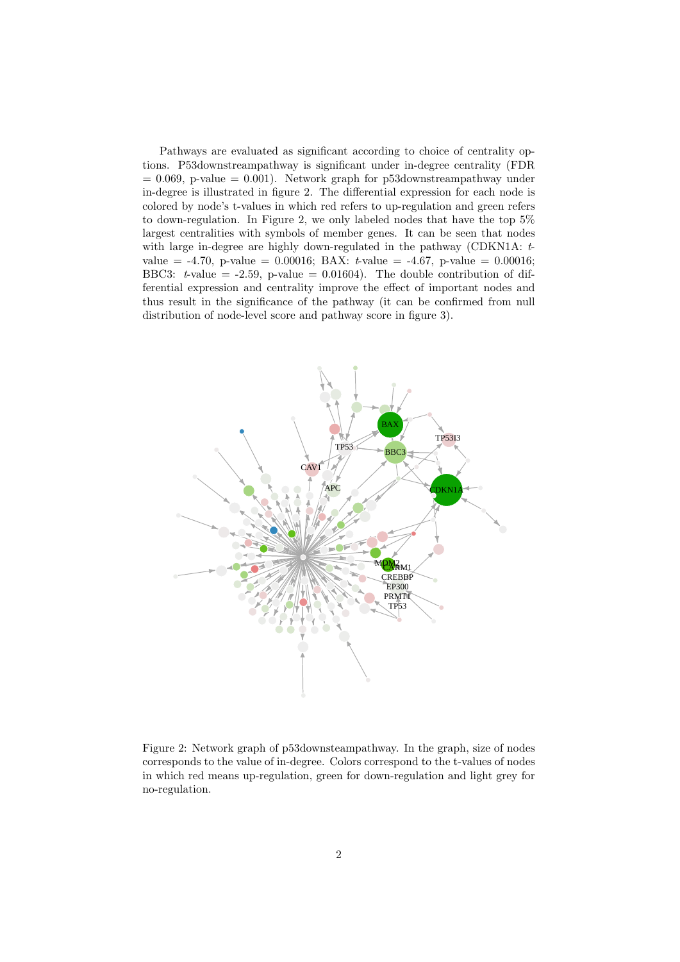Pathways are evaluated as significant according to choice of centrality options. P53downstreampathway is significant under in-degree centrality (FDR  $= 0.069$ , p-value  $= 0.001$ ). Network graph for p53downstreampathway under in-degree is illustrated in figure 2. The differential expression for each node is colored by node's t-values in which red refers to up-regulation and green refers to down-regulation. In Figure 2, we only labeled nodes that have the top 5% largest centralities with symbols of member genes. It can be seen that nodes with large in-degree are highly down-regulated in the pathway (CDKN1A:  $t$ value =  $-4.70$ , p-value =  $0.00016$ ; BAX:  $t$ -value =  $-4.67$ , p-value =  $0.00016$ ; BBC3: t-value =  $-2.59$ , p-value = 0.01604). The double contribution of differential expression and centrality improve the effect of important nodes and thus result in the significance of the pathway (it can be confirmed from null distribution of node-level score and pathway score in figure 3).



Figure 2: Network graph of p53downsteampathway. In the graph, size of nodes corresponds to the value of in-degree. Colors correspond to the t-values of nodes in which red means up-regulation, green for down-regulation and light grey for no-regulation.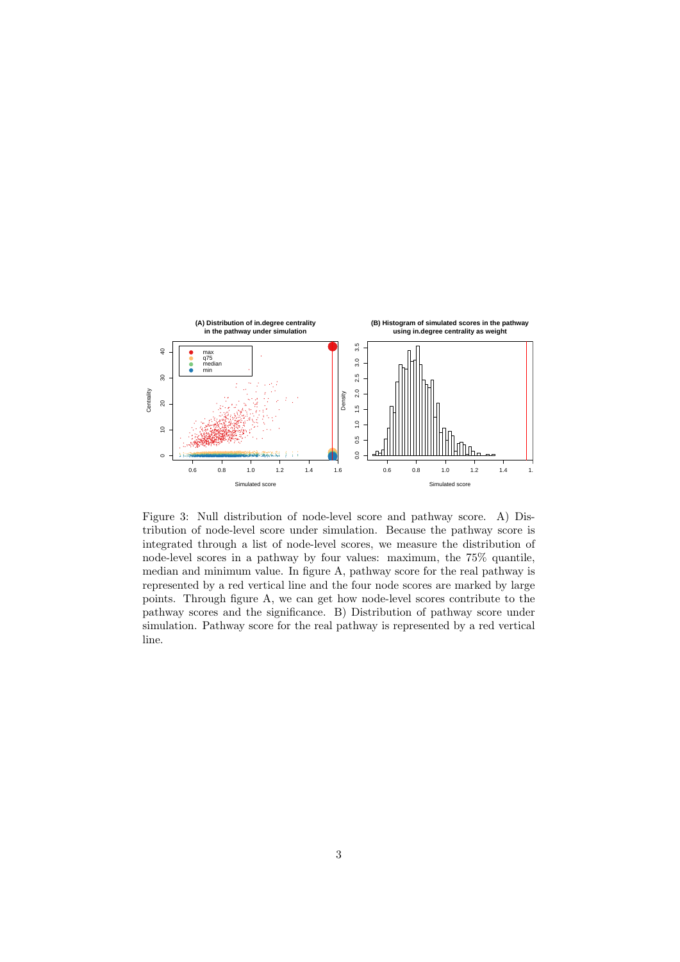

Figure 3: Null distribution of node-level score and pathway score. A) Distribution of node-level score under simulation. Because the pathway score is integrated through a list of node-level scores, we measure the distribution of node-level scores in a pathway by four values: maximum, the 75% quantile, median and minimum value. In figure A, pathway score for the real pathway is represented by a red vertical line and the four node scores are marked by large points. Through figure A, we can get how node-level scores contribute to the pathway scores and the significance. B) Distribution of pathway score under simulation. Pathway score for the real pathway is represented by a red vertical line.